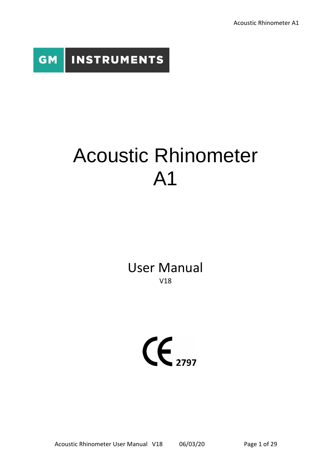**INSTRUMENTS GM** 

# Acoustic Rhinometer A1

User Manual V18

 $\mathsf{C}\boldsymbol{\epsilon}_{\scriptscriptstyle{2797}}$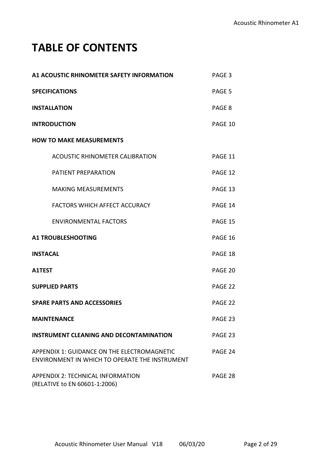## **TABLE OF CONTENTS**

| A1 ACOUSTIC RHINOMETER SAFETY INFORMATION                                                     | PAGE 3  |
|-----------------------------------------------------------------------------------------------|---------|
| <b>SPECIFICATIONS</b>                                                                         | PAGE 5  |
| <b>INSTALLATION</b>                                                                           | PAGE 8  |
| <b>INTRODUCTION</b>                                                                           | PAGE 10 |
| <b>HOW TO MAKE MEASUREMENTS</b>                                                               |         |
| <b>ACOUSTIC RHINOMETER CALIBRATION</b>                                                        | PAGE 11 |
| <b>PATIENT PREPARATION</b>                                                                    | PAGE 12 |
| <b>MAKING MEASUREMENTS</b>                                                                    | PAGE 13 |
| <b>FACTORS WHICH AFFECT ACCURACY</b>                                                          | PAGE 14 |
| <b>ENVIRONMENTAL FACTORS</b>                                                                  | PAGE 15 |
| <b>A1 TROUBLESHOOTING</b>                                                                     | PAGE 16 |
| <b>INSTACAL</b>                                                                               | PAGE 18 |
| A1TEST                                                                                        | PAGE 20 |
| <b>SUPPLIED PARTS</b>                                                                         | PAGE 22 |
| <b>SPARE PARTS AND ACCESSORIES</b>                                                            | PAGE 22 |
| <b>MAINTENANCE</b>                                                                            | PAGE 23 |
| <b>INSTRUMENT CLEANING AND DECONTAMINATION</b>                                                | PAGE 23 |
| APPENDIX 1: GUIDANCE ON THE ELECTROMAGNETIC<br>ENVIRONMENT IN WHICH TO OPERATE THE INSTRUMENT | PAGE 24 |
| <b>APPENDIX 2: TECHNICAL INFORMATION</b><br>(RELATIVE to EN 60601-1:2006)                     | PAGE 28 |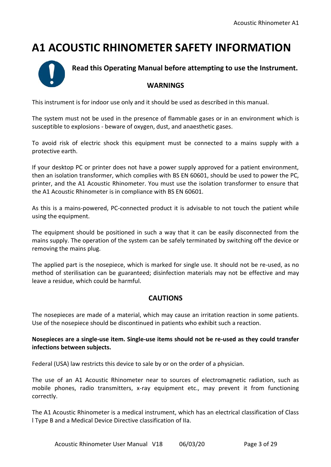## **A1 ACOUSTIC RHINOMETER SAFETY INFORMATION**



This instrument is for indoor use only and it should be used as described in this manual.

The system must not be used in the presence of flammable gases or in an environment which is susceptible to explosions - beware of oxygen, dust, and anaesthetic gases.

To avoid risk of electric shock this equipment must be connected to a mains supply with a protective earth.

If your desktop PC or printer does not have a power supply approved for a patient environment, then an isolation transformer, which complies with BS EN 60601, should be used to power the PC, printer, and the A1 Acoustic Rhinometer. You must use the isolation transformer to ensure that the A1 Acoustic Rhinometer is in compliance with BS EN 60601.

As this is a mains-powered, PC-connected product it is advisable to not touch the patient while using the equipment.

The equipment should be positioned in such a way that it can be easily disconnected from the mains supply. The operation of the system can be safely terminated by switching off the device or removing the mains plug.

The applied part is the nosepiece, which is marked for single use. It should not be re-used, as no method of sterilisation can be guaranteed; disinfection materials may not be effective and may leave a residue, which could be harmful.

#### **CAUTIONS**

The nosepieces are made of a material, which may cause an irritation reaction in some patients. Use of the nosepiece should be discontinued in patients who exhibit such a reaction.

**Nosepieces are a single-use item. Single-use items should not be re-used as they could transfer infections between subjects.** 

Federal (USA) law restricts this device to sale by or on the order of a physician.

The use of an A1 Acoustic Rhinometer near to sources of electromagnetic radiation, such as mobile phones, radio transmitters, x-ray equipment etc., may prevent it from functioning correctly.

The A1 Acoustic Rhinometer is a medical instrument, which has an electrical classification of Class l Type B and a Medical Device Directive classification of IIa.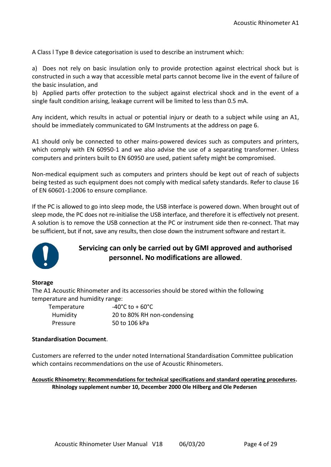A Class l Type B device categorisation is used to describe an instrument which:

a) Does not rely on basic insulation only to provide protection against electrical shock but is constructed in such a way that accessible metal parts cannot become live in the event of failure of the basic insulation, and

b) Applied parts offer protection to the subject against electrical shock and in the event of a single fault condition arising, leakage current will be limited to less than 0.5 mA.

Any incident, which results in actual or potential injury or death to a subject while using an A1, should be immediately communicated to GM Instruments at the address on page 6.

A1 should only be connected to other mains-powered devices such as computers and printers, which comply with EN 60950-1 and we also advise the use of a separating transformer. Unless computers and printers built to EN 60950 are used, patient safety might be compromised.

Non-medical equipment such as computers and printers should be kept out of reach of subjects being tested as such equipment does not comply with medical safety standards. Refer to clause 16 of EN 60601-1:2006 to ensure compliance.

If the PC is allowed to go into sleep mode, the USB interface is powered down. When brought out of sleep mode, the PC does not re-initialise the USB interface, and therefore it is effectively not present. A solution is to remove the USB connection at the PC or instrument side then re-connect. That may be sufficient, but if not, save any results, then close down the instrument software and restart it.



#### **Servicing can only be carried out by GMI approved and authorised personnel. No modifications are allowed**.

#### **Storage**

The A1 Acoustic Rhinometer and its accessories should be stored within the following temperature and humidity range:

| Temperature | $-40^{\circ}$ C to + 60 $^{\circ}$ C |
|-------------|--------------------------------------|
| Humidity    | 20 to 80% RH non-condensing          |
| Pressure    | 50 to 106 kPa                        |

#### **Standardisation Document**.

Customers are referred to the under noted International Standardisation Committee publication which contains recommendations on the use of Acoustic Rhinometers.

#### **Acoustic Rhinometry: Recommendations for technical specifications and standard operating procedures. Rhinology supplement number 10, December 2000 Ole Hilberg and Ole Pedersen**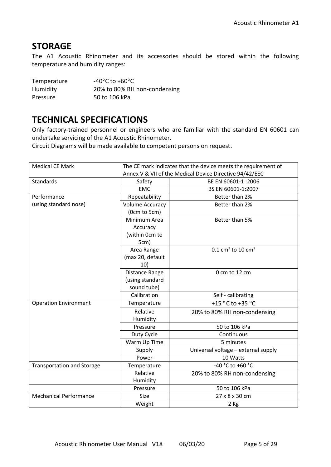### **STORAGE**

The A1 Acoustic Rhinometer and its accessories should be stored within the following temperature and humidity ranges:

| Temperature | -40 $^{\circ}$ C to +60 $^{\circ}$ C |
|-------------|--------------------------------------|
| Humidity    | 20% to 80% RH non-condensing         |
| Pressure    | 50 to 106 kPa                        |

## **TECHNICAL SPECIFICATIONS**

Only factory-trained personnel or engineers who are familiar with the standard EN 60601 can undertake servicing of the A1 Acoustic Rhinometer.

Circuit Diagrams will be made available to competent persons on request.

| <b>Medical CE Mark</b>            | The CE mark indicates that the device meets the requirement of |                                           |  |
|-----------------------------------|----------------------------------------------------------------|-------------------------------------------|--|
|                                   | Annex V & VII of the Medical Device Directive 94/42/EEC        |                                           |  |
| <b>Standards</b>                  | BE EN 60601-1:2006<br>Safety                                   |                                           |  |
|                                   | <b>EMC</b>                                                     | BS EN 60601-1:2007                        |  |
| Performance                       | Repeatability                                                  | Better than 2%                            |  |
| (using standard nose)             | <b>Volume Accuracy</b>                                         | Better than 2%                            |  |
|                                   | (0cm to 5cm)                                                   |                                           |  |
|                                   | Minimum Area                                                   | Better than 5%                            |  |
|                                   | Accuracy                                                       |                                           |  |
|                                   | (within 0cm to                                                 |                                           |  |
|                                   | 5cm)                                                           |                                           |  |
|                                   | Area Range                                                     | 0.1 cm <sup>2</sup> to 10 cm <sup>2</sup> |  |
|                                   | (max 20, default                                               |                                           |  |
|                                   | 10)                                                            |                                           |  |
|                                   | Distance Range                                                 | 0 cm to 12 cm                             |  |
|                                   | (using standard                                                |                                           |  |
|                                   | sound tube)                                                    |                                           |  |
|                                   | Calibration                                                    | Self - calibrating                        |  |
| <b>Operation Environment</b>      | Temperature                                                    | +15 °C to +35 °C                          |  |
|                                   | Relative                                                       | 20% to 80% RH non-condensing              |  |
|                                   | Humidity                                                       |                                           |  |
|                                   | Pressure                                                       | 50 to 106 kPa                             |  |
|                                   | Duty Cycle                                                     | Continuous                                |  |
|                                   | Warm Up Time                                                   | 5 minutes                                 |  |
|                                   | Supply                                                         | Universal voltage - external supply       |  |
|                                   | Power                                                          | 10 Watts                                  |  |
| <b>Transportation and Storage</b> | Temperature                                                    | -40 °C to +60 °C                          |  |
|                                   | Relative                                                       | 20% to 80% RH non-condensing              |  |
|                                   | Humidity                                                       |                                           |  |
|                                   | Pressure                                                       | 50 to 106 kPa                             |  |
| <b>Mechanical Performance</b>     | Size                                                           | 27 x 8 x 30 cm                            |  |
|                                   | Weight                                                         | 2 Kg                                      |  |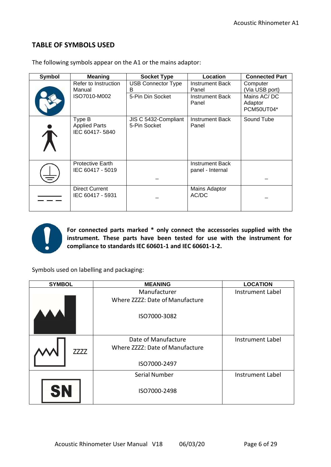#### **TABLE OF SYMBOLS USED**

| <b>Symbol</b> | <b>Meaning</b>                                   | <b>Socket Type</b>                   | Location                            | <b>Connected Part</b>                |
|---------------|--------------------------------------------------|--------------------------------------|-------------------------------------|--------------------------------------|
|               | Refer to Instruction<br>Manual                   | <b>USB Connector Type</b><br>B       | <b>Instrument Back</b><br>Panel     | Computer<br>(Via USB port)           |
|               | ISO7010-M002                                     | 5-Pin Din Socket                     | <b>Instrument Back</b><br>Panel     | Mains AC/DC<br>Adaptor<br>PCM50UT04* |
|               | Type B<br><b>Applied Parts</b><br>IEC 60417-5840 | JIS C 5432-Compliant<br>5-Pin Socket | <b>Instrument Back</b><br>Panel     | Sound Tube                           |
|               | <b>Protective Earth</b><br>IEC 60417 - 5019      |                                      | Instrument Back<br>panel - Internal |                                      |
|               | <b>Direct Current</b><br>IEC 60417 - 5931        |                                      | Mains Adaptor<br>AC/DC              |                                      |

The following symbols appear on the A1 or the mains adaptor:



**For connected parts marked \* only connect the accessories supplied with the instrument. These parts have been tested for use with the instrument for compliance to standards IEC 60601-1 and IEC 60601-1-2.**

Symbols used on labelling and packaging:

| <b>SYMBOL</b> | <b>MEANING</b>                  | <b>LOCATION</b>         |
|---------------|---------------------------------|-------------------------|
|               | Manufacturer                    | Instrument Label        |
|               | Where ZZZZ: Date of Manufacture |                         |
|               | ISO7000-3082                    |                         |
|               | Date of Manufacture             | <b>Instrument Label</b> |
| <b>ZZZZ</b>   | Where ZZZZ: Date of Manufacture |                         |
|               | ISO7000-2497                    |                         |
|               | Serial Number                   | Instrument Label        |
| <b>SN</b>     | ISO7000-2498                    |                         |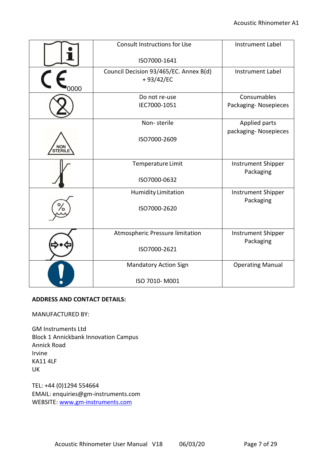|      | <b>Consult Instructions for Use</b>                   | <b>Instrument Label</b>                |
|------|-------------------------------------------------------|----------------------------------------|
|      | ISO7000-1641                                          |                                        |
| 0000 | Council Decision 93/465/EC. Annex B(d)<br>$+93/42/EC$ | <b>Instrument Label</b>                |
|      | Do not re-use<br>IEC7000-1051                         | Consumables<br>Packaging- Nosepieces   |
|      | Non-sterile                                           | Applied parts<br>packaging- Nosepieces |
|      | ISO7000-2609                                          |                                        |
|      | Temperature Limit                                     | Instrument Shipper<br>Packaging        |
|      | ISO7000-0632                                          |                                        |
|      | <b>Humidity Limitation</b>                            | Instrument Shipper<br>Packaging        |
|      | ISO7000-2620                                          |                                        |
|      | Atmospheric Pressure limitation                       | Instrument Shipper<br>Packaging        |
|      | ISO7000-2621                                          |                                        |
|      | <b>Mandatory Action Sign</b>                          | <b>Operating Manual</b>                |
|      | ISO 7010-M001                                         |                                        |

#### **ADDRESS AND CONTACT DETAILS:**

MANUFACTURED BY:

GM Instruments Ltd Block 1 Annickbank Innovation Campus Annick Road Irvine KA11 4LF UK

TEL: +44 (0)1294 554664 EMAIL: enquiries@gm-instruments.com WEBSITE: [www.gm-instruments.com](http://www.gm-instruments.com/)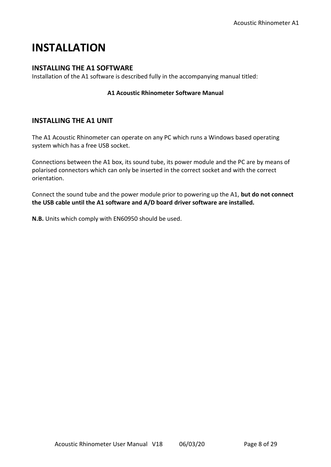## **INSTALLATION**

#### **INSTALLING THE A1 SOFTWARE**

Installation of the A1 software is described fully in the accompanying manual titled:

#### **A1 Acoustic Rhinometer Software Manual**

#### **INSTALLING THE A1 UNIT**

The A1 Acoustic Rhinometer can operate on any PC which runs a Windows based operating system which has a free USB socket.

Connections between the A1 box, its sound tube, its power module and the PC are by means of polarised connectors which can only be inserted in the correct socket and with the correct orientation.

Connect the sound tube and the power module prior to powering up the A1, **but do not connect the USB cable until the A1 software and A/D board driver software are installed.**

**N.B.** Units which comply with EN60950 should be used.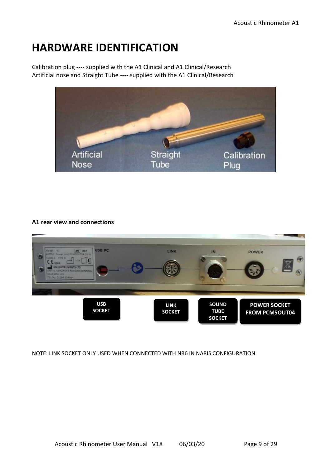## **HARDWARE IDENTIFICATION**

Calibration plug ---- supplied with the A1 Clinical and A1 Clinical/Research Artificial nose and Straight Tube ---- supplied with the A1 Clinical/Research



#### **A1 rear view and connections**



NOTE: LINK SOCKET ONLY USED WHEN CONNECTED WITH NR6 IN NARIS CONFIGURATION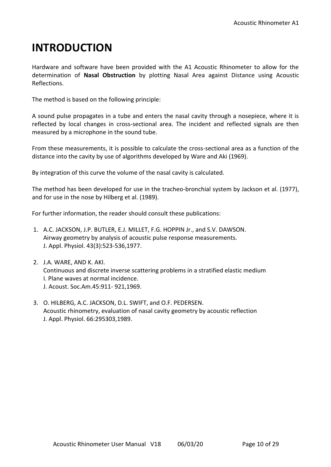## **INTRODUCTION**

Hardware and software have been provided with the A1 Acoustic Rhinometer to allow for the determination of **Nasal Obstruction** by plotting Nasal Area against Distance using Acoustic Reflections.

The method is based on the following principle:

A sound pulse propagates in a tube and enters the nasal cavity through a nosepiece, where it is reflected by local changes in cross-sectional area. The incident and reflected signals are then measured by a microphone in the sound tube.

From these measurements, it is possible to calculate the cross-sectional area as a function of the distance into the cavity by use of algorithms developed by Ware and Aki (1969).

By integration of this curve the volume of the nasal cavity is calculated.

The method has been developed for use in the tracheo-bronchial system by Jackson et al. (1977), and for use in the nose by Hilberg et al. (1989).

For further information, the reader should consult these publications:

- 1. A.C. JACKSON, J.P. BUTLER, E.J. MILLET, F.G. HOPPIN Jr., and S.V. DAWSON. Airway geometry by analysis of acoustic pulse response measurements. J. Appl. Physiol. 43(3):523-536,1977.
- 2. J.A. WARE, AND K. AKI. Continuous and discrete inverse scattering problems in a stratified elastic medium I. Plane waves at normal incidence. J. Acoust. Soc.Am.45:911- 921,1969.
- 3. O. HILBERG, A.C. JACKSON, D.L. SWIFT, and O.F. PEDERSEN. Acoustic rhinometry, evaluation of nasal cavity geometry by acoustic reflection J. Appl. Physiol. 66:295303,1989.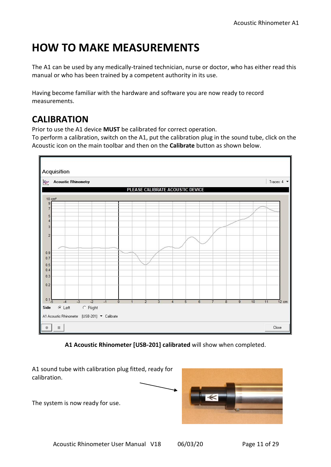## **HOW TO MAKE MEASUREMENTS**

The A1 can be used by any medically-trained technician, nurse or doctor, who has either read this manual or who has been trained by a competent authority in its use.

Having become familiar with the hardware and software you are now ready to record measurements.

## **CALIBRATION**

Prior to use the A1 device **MUST** be calibrated for correct operation.

To perform a calibration, switch on the A1, put the calibration plug in the sound tube, click on the Acoustic icon on the main toolbar and then on the **Calibrate** button as shown below.



**A1 Acoustic Rhinometer [USB-201] calibrated** will show when completed.

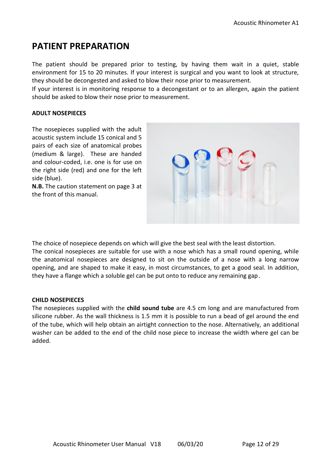### **PATIENT PREPARATION**

The patient should be prepared prior to testing, by having them wait in a quiet, stable environment for 15 to 20 minutes. If your interest is surgical and you want to look at structure, they should be decongested and asked to blow their nose prior to measurement.

If your interest is in monitoring response to a decongestant or to an allergen, again the patient should be asked to blow their nose prior to measurement.

#### **ADULT NOSEPIECES**

The nosepieces supplied with the adult acoustic system include 15 conical and 5 pairs of each size of anatomical probes (medium & large). These are handed and colour-coded, i.e. one is for use on the right side (red) and one for the left side (blue).

**N.B.** The caution statement on page 3 at the front of this manual.



The choice of nosepiece depends on which will give the best seal with the least distortion.

The conical nosepieces are suitable for use with a nose which has a small round opening, while the anatomical nosepieces are designed to sit on the outside of a nose with a long narrow opening, and are shaped to make it easy, in most circumstances, to get a good seal. In addition, they have a flange which a soluble gel can be put onto to reduce any remaining gap.

#### **CHILD NOSEPIECES**

The nosepieces supplied with the **child sound tube** are 4.5 cm long and are manufactured from silicone rubber. As the wall thickness is 1.5 mm it is possible to run a bead of gel around the end of the tube, which will help obtain an airtight connection to the nose. Alternatively, an additional washer can be added to the end of the child nose piece to increase the width where gel can be added.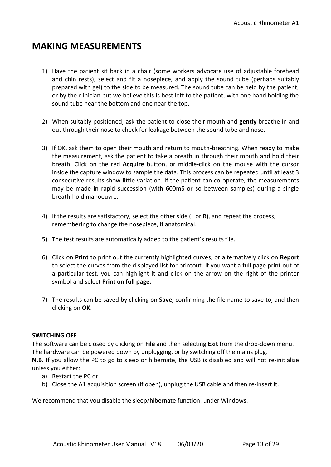### **MAKING MEASUREMENTS**

- 1) Have the patient sit back in a chair (some workers advocate use of adjustable forehead and chin rests), select and fit a nosepiece, and apply the sound tube (perhaps suitably prepared with gel) to the side to be measured. The sound tube can be held by the patient, or by the clinician but we believe this is best left to the patient, with one hand holding the sound tube near the bottom and one near the top.
- 2) When suitably positioned, ask the patient to close their mouth and **gently** breathe in and out through their nose to check for leakage between the sound tube and nose.
- 3) If OK, ask them to open their mouth and return to mouth-breathing. When ready to make the measurement, ask the patient to take a breath in through their mouth and hold their breath. Click on the red **Acquire** button, or middle-click on the mouse with the cursor inside the capture window to sample the data. This process can be repeated until at least 3 consecutive results show little variation. If the patient can co-operate, the measurements may be made in rapid succession (with 600mS or so between samples) during a single breath-hold manoeuvre.
- 4) If the results are satisfactory, select the other side (L or R), and repeat the process, remembering to change the nosepiece, if anatomical.
- 5) The test results are automatically added to the patient's results file.
- 6) Click on **Print** to print out the currently highlighted curves, or alternatively click on **Report** to select the curves from the displayed list for printout. If you want a full page print out of a particular test, you can highlight it and click on the arrow on the right of the printer symbol and select **Print on full page.**
- 7) The results can be saved by clicking on **Save**, confirming the file name to save to, and then clicking on **OK**.

#### **SWITCHING OFF**

The software can be closed by clicking on **File** and then selecting **Exit** from the drop-down menu. The hardware can be powered down by unplugging, or by switching off the mains plug.

**N.B.** If you allow the PC to go to sleep or hibernate, the USB is disabled and will not re-initialise unless you either:

- a) Restart the PC or
- b) Close the A1 acquisition screen (if open), unplug the USB cable and then re-insert it.

We recommend that you disable the sleep/hibernate function, under Windows.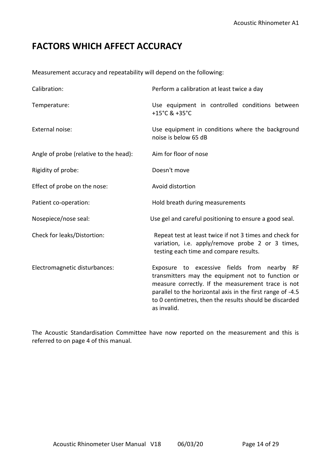## **FACTORS WHICH AFFECT ACCURACY**

Measurement accuracy and repeatability will depend on the following:

| Calibration:                           | Perform a calibration at least twice a day                                                                                                                                                                                                                                                    |
|----------------------------------------|-----------------------------------------------------------------------------------------------------------------------------------------------------------------------------------------------------------------------------------------------------------------------------------------------|
| Temperature:                           | Use equipment in controlled conditions between<br>+15°C & +35°C                                                                                                                                                                                                                               |
| External noise:                        | Use equipment in conditions where the background<br>noise is below 65 dB                                                                                                                                                                                                                      |
| Angle of probe (relative to the head): | Aim for floor of nose                                                                                                                                                                                                                                                                         |
| Rigidity of probe:                     | Doesn't move                                                                                                                                                                                                                                                                                  |
| Effect of probe on the nose:           | Avoid distortion                                                                                                                                                                                                                                                                              |
| Patient co-operation:                  | Hold breath during measurements                                                                                                                                                                                                                                                               |
| Nosepiece/nose seal:                   | Use gel and careful positioning to ensure a good seal.                                                                                                                                                                                                                                        |
| Check for leaks/Distortion:            | Repeat test at least twice if not 3 times and check for<br>variation, i.e. apply/remove probe 2 or 3 times,<br>testing each time and compare results.                                                                                                                                         |
| Electromagnetic disturbances:          | Exposure to excessive fields from nearby RF<br>transmitters may the equipment not to function or<br>measure correctly. If the measurement trace is not<br>parallel to the horizontal axis in the first range of -4.5<br>to 0 centimetres, then the results should be discarded<br>as invalid. |

The Acoustic Standardisation Committee have now reported on the measurement and this is referred to on page 4 of this manual.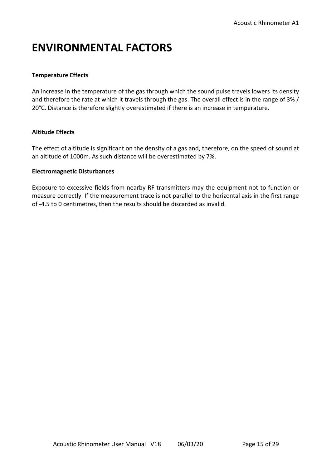## **ENVIRONMENTAL FACTORS**

#### **Temperature Effects**

An increase in the temperature of the gas through which the sound pulse travels lowers its density and therefore the rate at which it travels through the gas. The overall effect is in the range of 3% / 20°C. Distance is therefore slightly overestimated if there is an increase in temperature.

#### **Altitude Effects**

The effect of altitude is significant on the density of a gas and, therefore, on the speed of sound at an altitude of 1000m. As such distance will be overestimated by 7%.

#### **Electromagnetic Disturbances**

Exposure to excessive fields from nearby RF transmitters may the equipment not to function or measure correctly. If the measurement trace is not parallel to the horizontal axis in the first range of -4.5 to 0 centimetres, then the results should be discarded as invalid.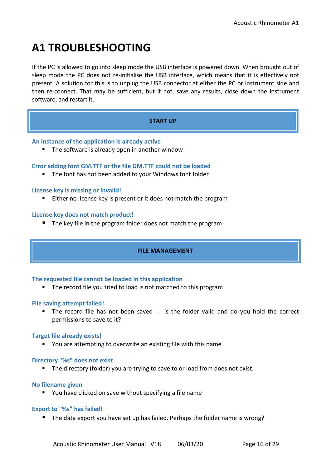## **A1 TROUBLESHOOTING**

If the PC is allowed to go into sleep mode the USB interface is powered down. When brought out of sleep mode the PC does not re-initialise the USB interface, which means that it is effectively not present. A solution for this is to unplug the USB connector at either the PC or instrument side and then re-connect. That may be sufficient, but if not, save any results, close down the instrument software, and restart it.

#### **START UP**

#### **An instance of the application is already active**

■ The software is already open in another window

#### **Error adding font GM.TTF or the file GM.TTF could not be loaded**

The font has not been added to your Windows font folder

#### **License key is missing or invalid!**

Either no license key is present or it does not match the program

#### **License key does not match product!**

The key file in the program folder does not match the program

#### **FILE MANAGEMENT**

#### **The requested file cannot be loaded in this application**

■ The record file you tried to load is not matched to this program

#### **File saving attempt failed!**

■ The record file has not been saved --- is the folder valid and do you hold the correct permissions to save to it?

#### **Target file already exists!**

■ You are attempting to overwrite an existing file with this name

#### **Directory "%s" does not exist**

■ The directory (folder) you are trying to save to or load from does not exist.

#### **No filename given**

■ You have clicked on save without specifying a file name

#### **Export to "%s" has failed!**

■ The data export you have set up has failed. Perhaps the folder name is wrong?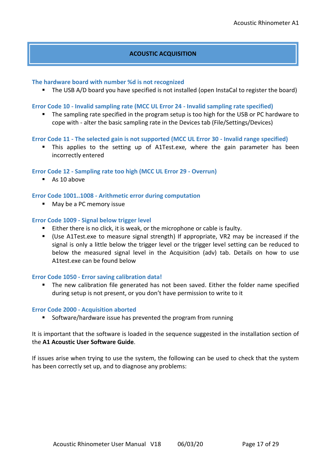#### **ACOUSTIC ACQUISITION**

#### **The hardware board with number %d is not recognized**

The USB A/D board you have specified is not installed (open InstaCal to register the board)

#### **Error Code 10 - Invalid sampling rate (MCC UL Error 24 - Invalid sampling rate specified)**

■ The sampling rate specified in the program setup is too high for the USB or PC hardware to cope with - alter the basic sampling rate in the Devices tab (File/Settings/Devices)

#### **Error Code 11 - The selected gain is not supported (MCC UL Error 30 - Invalid range specified)**

■ This applies to the setting up of A1Test.exe, where the gain parameter has been incorrectly entered

#### **Error Code 12 - Sampling rate too high (MCC UL Error 29 - Overrun)**

■ As 10 above

#### **Error Code 1001..1008 - Arithmetic error during computation**

■ May be a PC memory issue

#### **Error Code 1009 - Signal below trigger level**

- Either there is no click, it is weak, or the microphone or cable is faulty.
- (Use A1Test.exe to measure signal strength) If appropriate, VR2 may be increased if the signal is only a little below the trigger level or the trigger level setting can be reduced to below the measured signal level in the Acquisition (adv) tab. Details on how to use A1test.exe can be found below

#### **Error Code 1050 - Error saving calibration data!**

The new calibration file generated has not been saved. Either the folder name specified during setup is not present, or you don't have permission to write to it

#### **Error Code 2000 - Acquisition aborted**

■ Software/hardware issue has prevented the program from running

It is important that the software is loaded in the sequence suggested in the installation section of the **A1 Acoustic User Software Guide**.

If issues arise when trying to use the system, the following can be used to check that the system has been correctly set up, and to diagnose any problems: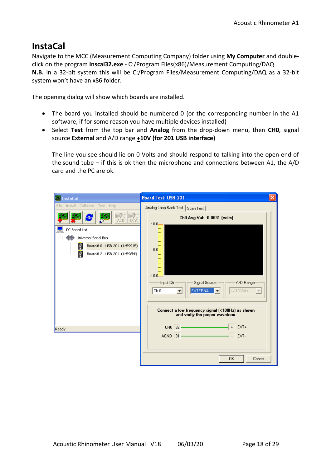## **InstaCal**

Navigate to the MCC (Measurement Computing Company) folder using **My Computer** and doubleclick on the program **Inscal32.exe** - C:/Program Files(x86)/Measurement Computing/DAQ. **N.B.** In a 32-bit system this will be C:/Program Files/Measurement Computing/DAQ as a 32-bit system won't have an x86 folder.

The opening dialog will show which boards are installed.

- The board you installed should be numbered 0 (or the corresponding number in the A1 software, if for some reason you have multiple devices installed)
- Select **Test** from the top bar and **Analog** from the drop-down menu, then **CH0**, signal source **External** and A/D range **+10V (for 201 USB interface)**

The line you see should lie on 0 Volts and should respond to talking into the open end of the sound tube – if this is ok then the microphone and connections between A1, the A/D card and the PC are ok.

| m<br><b>InstaCal</b>                                                                                                                                                                                                                                                   | <b>Board Test: USB-201</b>                                                                                                                                                                                                                       |
|------------------------------------------------------------------------------------------------------------------------------------------------------------------------------------------------------------------------------------------------------------------------|--------------------------------------------------------------------------------------------------------------------------------------------------------------------------------------------------------------------------------------------------|
| Install Calibrate Test Help<br>File<br>$\mathbb{D}^{\mathrm{CK}}_{\mathrm{sym}}$<br>$\mathbb{D}^{\mathbb{C} \times}$<br>U.<br>A/D<br>D/A<br>PC Board List<br><b>100</b> Universal Serial Bus<br>ψ<br>Board# 0 - USB-201 (1c59915)<br>ψ<br>Board# 2 - USB-201 (1c598bf) | Analog Loop Back Test   Scan Test  <br>Ch0 Avg Val: -0.0631 (volts)<br>$10.0 -$<br>$0.0 -$<br>$-10.0$<br>Signal Source<br>Input Ch<br>A/D Ranger<br><b>EXTERNAL</b><br>Ch 0<br>$+/-10$ Volts<br>$\overline{\phantom{a}}$<br>$\blacktriangledown$ |
|                                                                                                                                                                                                                                                                        | Connect a low frequency signal (<100Hz) as shown<br>and verfiy the proper waveform.                                                                                                                                                              |
| Ready                                                                                                                                                                                                                                                                  | EXT+<br>$CHO$ 32                                                                                                                                                                                                                                 |
|                                                                                                                                                                                                                                                                        | $ 31\rangle$<br>AGND<br>EXT-<br>0K<br>Cancel                                                                                                                                                                                                     |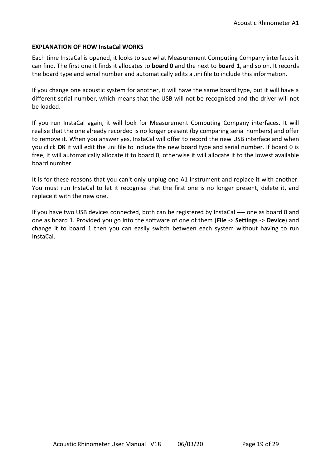#### **EXPLANATION OF HOW InstaCal WORKS**

Each time InstaCal is opened, it looks to see what Measurement Computing Company interfaces it can find. The first one it finds it allocates to **board 0** and the next to **board 1**, and so on. It records the board type and serial number and automatically edits a .ini file to include this information.

If you change one acoustic system for another, it will have the same board type, but it will have a different serial number, which means that the USB will not be recognised and the driver will not be loaded.

If you run InstaCal again, it will look for Measurement Computing Company interfaces. It will realise that the one already recorded is no longer present (by comparing serial numbers) and offer to remove it. When you answer yes, InstaCal will offer to record the new USB interface and when you click **OK** it will edit the .ini file to include the new board type and serial number. If board 0 is free, it will automatically allocate it to board 0, otherwise it will allocate it to the lowest available board number.

It is for these reasons that you can't only unplug one A1 instrument and replace it with another. You must run InstaCal to let it recognise that the first one is no longer present, delete it, and replace it with the new one.

If you have two USB devices connected, both can be registered by InstaCal ---- one as board 0 and one as board 1. Provided you go into the software of one of them (**File** -> **Settings** -> **Device**) and change it to board 1 then you can easily switch between each system without having to run InstaCal.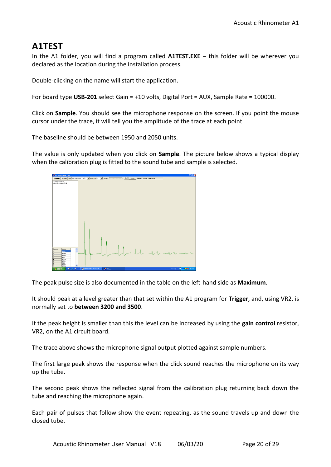### **A1TEST**

In the A1 folder, you will find a program called **A1TEST.EXE** – this folder will be wherever you declared as the location during the installation process.

Double-clicking on the name will start the application.

For board type **USB-201** select Gain = +10 volts, Digital Port = AUX, Sample Rate **=** 100000.

Click on **Sample**. You should see the microphone response on the screen. If you point the mouse cursor under the trace, it will tell you the amplitude of the trace at each point.

The baseline should be between 1950 and 2050 units.

The value is only updated when you click on **Sample**. The picture below shows a typical display when the calibration plug is fitted to the sound tube and sample is selected.

|                                                                                                                                                                                                | <b>PCI-DAS1000 Test</b>                                       |                                                    |                                                          |  | <b>GPX</b>                            |
|------------------------------------------------------------------------------------------------------------------------------------------------------------------------------------------------|---------------------------------------------------------------|----------------------------------------------------|----------------------------------------------------------|--|---------------------------------------|
|                                                                                                                                                                                                |                                                               | Sample Acquire Gain BIP1PT25VOLTS (-1. > Board # 0 | Scale [ Scale [ Shift   Spark   Sample 01736, Value 1998 |  |                                       |
| NumPoints=2048<br>Min-1343 Max-3514<br>$\begin{array}{c}\n\text{Sample} \\ \hline\n0 \\ 1\n\end{array}$<br>$\frac{1}{\sqrt{2}}$ $\frac{1}{\sqrt{2}}$ $\frac{1}{\sqrt{2}}$ $\frac{1}{\sqrt{2}}$ | Value<br>1994<br>1990<br>1988<br>1971<br>1958<br>1947<br>1950 |                                                    |                                                          |  |                                       |
| <b>By</b> start                                                                                                                                                                                | 1959<br>■ ◎ 响                                                 | Document1 - Microsof                               | <b>A</b> Rhtest                                          |  | Desitop <sup>19</sup> (C) 0 8 0 15:08 |

The peak pulse size is also documented in the table on the left-hand side as **Maximum**.

It should peak at a level greater than that set within the A1 program for **Trigger**, and, using VR2, is normally set to **between 3200 and 3500**.

If the peak height is smaller than this the level can be increased by using the **gain control** resistor, VR2, on the A1 circuit board.

The trace above shows the microphone signal output plotted against sample numbers.

The first large peak shows the response when the click sound reaches the microphone on its way up the tube.

The second peak shows the reflected signal from the calibration plug returning back down the tube and reaching the microphone again.

Each pair of pulses that follow show the event repeating, as the sound travels up and down the closed tube.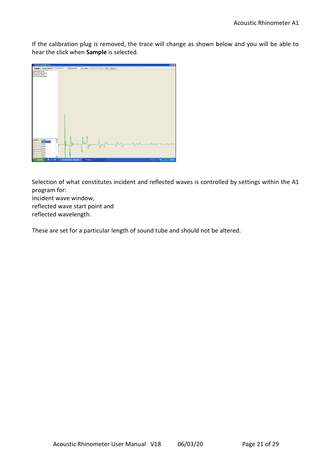If the calibration plug is removed, the trace will change as shown below and you will be able to hear the click when **Sample** is selected.



Selection of what constitutes incident and reflected waves is controlled by settings within the A1 program for:

incident wave window, reflected wave start point and reflected wavelength.

These are set for a particular length of sound tube and should not be altered.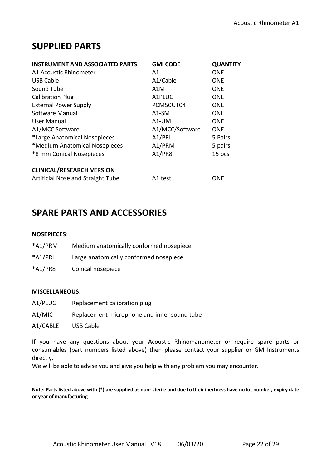### **SUPPLIED PARTS**

| <b>INSTRUMENT AND ASSOCIATED PARTS</b> | <b>GMI CODE</b> | <b>QUANTITY</b> |
|----------------------------------------|-----------------|-----------------|
| A1 Acoustic Rhinometer                 | Α1              | <b>ONE</b>      |
| <b>USB Cable</b>                       | A1/Cable        | <b>ONE</b>      |
| Sound Tube                             | A1M             | <b>ONE</b>      |
| <b>Calibration Plug</b>                | A1PLUG          | <b>ONE</b>      |
| <b>External Power Supply</b>           | PCM50UT04       | <b>ONE</b>      |
| Software Manual                        | A1-SM           | <b>ONE</b>      |
| User Manual                            | A1-UM           | <b>ONE</b>      |
| A1/MCC Software                        | A1/MCC/Software | <b>ONE</b>      |
| *Large Anatomical Nosepieces           | A1/PRL          | 5 Pairs         |
| *Medium Anatomical Nosepieces          | A1/PRM          | 5 pairs         |
| *8 mm Conical Nosepieces               | A1/PR8          | 15 pcs          |
| <b>CLINICAL/RESEARCH VERSION</b>       |                 |                 |
| Artificial Nose and Straight Tube      | A1 test         | ONE             |

### **SPARE PARTS AND ACCESSORIES**

#### **NOSEPIECES**:

- \*A1/PRM Medium anatomically conformed nosepiece
- \*A1/PRL Large anatomically conformed nosepiece
- \*A1/PR8 Conical nosepiece

#### **MISCELLANEOUS**:

- A1/PLUG Replacement calibration plug
- A1/MIC Replacement microphone and inner sound tube

A1/CABLE USB Cable

If you have any questions about your Acoustic Rhinomanometer or require spare parts or consumables (part numbers listed above) then please contact your supplier or GM Instruments directly.

We will be able to advise you and give you help with any problem you may encounter.

**Note: Parts listed above with (\*) are supplied as non- sterile and due to their inertness have no lot number, expiry date or year of manufacturing**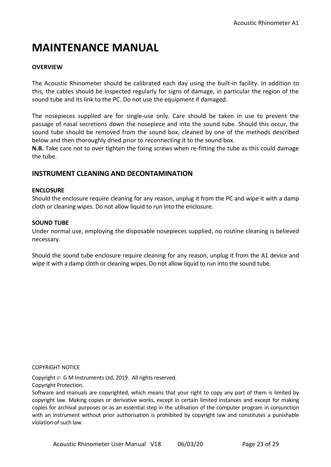## **MAINTENANCE MANUAL**

#### **OVERVIEW**

The Acoustic Rhinometer should be calibrated each day using the built-in facility. In addition to this, the cables should be inspected regularly for signs of damage, in particular the region of the sound tube and its link to the PC. Do not use the equipment if damaged.

The nosepieces supplied are for single-use only. Care should be taken in use to prevent the passage of nasal secretions down the nosepiece and into the sound tube. Should this occur, the sound tube should be removed from the sound box, cleaned by one of the methods described below and then thoroughly dried prior to reconnecting it to the sound box.

**N.B.** Take care not to over tighten the fixing screws when re-fitting the tube as this could damage the tube.

#### **INSTRUMENT CLEANING AND DECONTAMINATION**

#### **ENCLOSURE**

Should the enclosure require cleaning for any reason, unplug it from the PC and wipe it with a damp cloth or cleaning wipes. Do not allow liquid to run into the enclosure.

#### **SOUND TUBE**

Under normal use, employing the disposable nosepieces supplied, no routine cleaning is believed necessary.

Should the sound tube enclosure require cleaning for any reason, unplug it from the A1 device and wipe it with a damp cloth or cleaning wipes. Do not allow liquid to run into the sound tube.

COPYRIGHT NOTICE

Copyright © G M Instruments Ltd, 2019. All rights reserved.

Copyright Protection.

Software and manuals are copyrighted, which means that your right to copy any part of them is limited by copyright law. Making copies or derivative works, except in certain limited instances and except for making copies for archival purposes or as an essential step in the utilisation of the computer program in conjunction with an instrument without prior authorisation is prohibited by copyright law and constitutes a punishable violation of such law.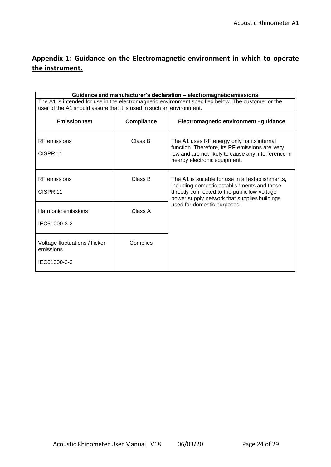### **Appendix 1: Guidance on the Electromagnetic environment in which to operate the instrument.**

| Guidance and manufacturer's declaration - electromagnetic emissions                                |            |                                                                                                                                                                                                  |  |  |
|----------------------------------------------------------------------------------------------------|------------|--------------------------------------------------------------------------------------------------------------------------------------------------------------------------------------------------|--|--|
| The A1 is intended for use in the electromagnetic environment specified below. The customer or the |            |                                                                                                                                                                                                  |  |  |
| user of the A1 should assure that it is used in such an environment.                               |            |                                                                                                                                                                                                  |  |  |
| <b>Emission test</b>                                                                               | Compliance | Electromagnetic environment - guidance                                                                                                                                                           |  |  |
| <b>RF</b> emissions<br>CISPR 11                                                                    | Class B    | The A1 uses RF energy only for its internal<br>function. Therefore, its RF emissions are very<br>low and are not likely to cause any interference in<br>nearby electronic equipment.             |  |  |
| <b>RF</b> emissions<br>CISPR 11                                                                    | Class B    | The A1 is suitable for use in all establishments,<br>including domestic establishments and those<br>directly connected to the public low-voltage<br>power supply network that supplies buildings |  |  |
| Harmonic emissions<br>IEC61000-3-2                                                                 | Class A    | used for domestic purposes.                                                                                                                                                                      |  |  |
| Voltage fluctuations / flicker<br>emissions<br>IEC61000-3-3                                        | Complies   |                                                                                                                                                                                                  |  |  |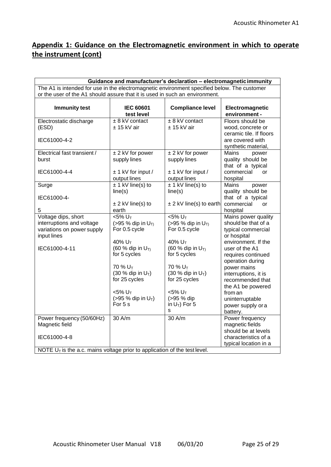### **Appendix 1: Guidance on the Electromagnetic environment in which to operate the instrument (cont)**

| Guidance and manufacturer's declaration - electromagnetic immunity                          |                                               |                                       |                                             |  |  |
|---------------------------------------------------------------------------------------------|-----------------------------------------------|---------------------------------------|---------------------------------------------|--|--|
| The A1 is intended for use in the electromagnetic environment specified below. The customer |                                               |                                       |                                             |  |  |
| or the user of the A1 should assure that it is used in such an environment.                 |                                               |                                       |                                             |  |  |
|                                                                                             |                                               |                                       |                                             |  |  |
| <b>Immunity test</b>                                                                        | <b>IEC 60601</b>                              | <b>Compliance level</b>               | Electromagnetic                             |  |  |
|                                                                                             | test level                                    |                                       | environment -                               |  |  |
| Electrostatic discharge                                                                     | $\pm$ 8 kV contact                            | $± 8$ kV contact                      | Floors should be                            |  |  |
| (ESD)                                                                                       | $± 15$ kV air                                 | $± 15$ kV air                         | wood, concrete or                           |  |  |
|                                                                                             |                                               |                                       | ceramic tile. If floors                     |  |  |
| IEC61000-4-2                                                                                |                                               |                                       | are covered with                            |  |  |
|                                                                                             |                                               |                                       | synthetic material,                         |  |  |
| Electrical fast transient /                                                                 | $±$ 2 kV for power                            | $\pm$ 2 kV for power                  | Mains<br>power                              |  |  |
| burst                                                                                       | supply lines                                  | supply lines                          | quality should be                           |  |  |
|                                                                                             |                                               |                                       | that of a typical                           |  |  |
| IEC61000-4-4                                                                                | $± 1$ kV for input /                          | ± 1 kV for input /                    | commercial<br>or                            |  |  |
|                                                                                             | output lines<br>$\pm$ 1 kV line(s) to         | output lines<br>$\pm$ 1 kV line(s) to | hospital<br>Mains                           |  |  |
| Surge                                                                                       | line(s)                                       | line(s)                               | power<br>quality should be                  |  |  |
| IEC61000-4-                                                                                 |                                               |                                       | that of a typical                           |  |  |
|                                                                                             | $±$ 2 kV line(s) to                           | $\pm$ 2 kV line(s) to earth           | commercial<br>or                            |  |  |
| 5                                                                                           | earth                                         |                                       | hospital                                    |  |  |
| Voltage dips, short                                                                         | $<$ 5% $U$ <sup>T</sup>                       | $<$ 5% $U$ <sub>T</sub>               | Mains power quality                         |  |  |
| interruptions and voltage                                                                   | $( > 95 %$ dip in U <sub>T)</sub>             | $(>95%$ dip in U <sub>T)</sub>        | should be that of a                         |  |  |
| variations on power supply                                                                  | For 0.5 cycle                                 | For 0.5 cycle                         | typical commercial                          |  |  |
| input lines                                                                                 |                                               |                                       | or hospital                                 |  |  |
|                                                                                             | 40% U <sub>T</sub>                            | 40% U <sub>T</sub>                    | environment. If the                         |  |  |
| IEC61000-4-11                                                                               | (60 % dip in $U_T$ )                          | (60 % dip in $U_T$ )                  | user of the A1                              |  |  |
|                                                                                             | for 5 cycles                                  | for 5 cycles                          | requires continued                          |  |  |
|                                                                                             |                                               |                                       | operation during                            |  |  |
|                                                                                             | 70 % U <sub>T</sub>                           | 70 % U <sub>T</sub>                   | power mains                                 |  |  |
|                                                                                             | $(30 %$ dip in $U_T$ )                        | $(30 %$ dip in $U_T$ )                | interruptions, it is                        |  |  |
|                                                                                             | for 25 cycles                                 | for 25 cycles                         | recommended that                            |  |  |
|                                                                                             |                                               |                                       | the A1 be powered                           |  |  |
|                                                                                             | $<$ 5% $UT$                                   | <5% U <sub>T</sub>                    | from an                                     |  |  |
|                                                                                             | $( > 95 %$ dip in U <sub>T</sub> )<br>For 5 s | (>95 % dip<br>in $U_T$ ) For 5        | uninterruptable                             |  |  |
|                                                                                             |                                               | S.                                    | power supply or a                           |  |  |
|                                                                                             |                                               |                                       | battery.                                    |  |  |
| Power frequency (50/60Hz)                                                                   | 30 A/m                                        | 30 A/m                                | Power frequency                             |  |  |
| Magnetic field                                                                              |                                               |                                       | magnetic fields                             |  |  |
|                                                                                             |                                               |                                       | should be at levels<br>characteristics of a |  |  |
| IEC61000-4-8                                                                                |                                               |                                       |                                             |  |  |
|                                                                                             |                                               |                                       | typical location in a                       |  |  |
| NOTE $U_T$ is the a.c. mains voltage prior to application of the test level.                |                                               |                                       |                                             |  |  |

or hospital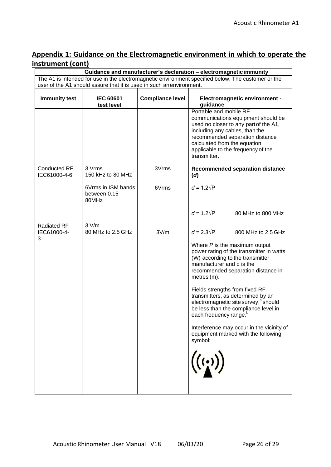### **Appendix 1: Guidance on the Electromagnetic environment in which to operate the instrument (cont)**

| Guidance and manufacturer's declaration - electromagnetic immunity                                                                                                        |                                              |                         |                                                                                                                                                                                                                                                                  |  |  |  |
|---------------------------------------------------------------------------------------------------------------------------------------------------------------------------|----------------------------------------------|-------------------------|------------------------------------------------------------------------------------------------------------------------------------------------------------------------------------------------------------------------------------------------------------------|--|--|--|
| The A1 is intended for use in the electromagnetic environment specified below. The customer or the<br>user of the A1 should assure that it is used in such anenvironment. |                                              |                         |                                                                                                                                                                                                                                                                  |  |  |  |
|                                                                                                                                                                           |                                              |                         |                                                                                                                                                                                                                                                                  |  |  |  |
| <b>Immunity test</b>                                                                                                                                                      | <b>IEC 60601</b><br>test level               | <b>Compliance level</b> | <b>Electromagnetic environment -</b><br>guidance                                                                                                                                                                                                                 |  |  |  |
|                                                                                                                                                                           |                                              |                         | Portable and mobile RF<br>communications equipment should be<br>used no closer to any part of the A1,<br>including any cables, than the<br>recommended separation distance<br>calculated from the equation<br>applicable to the frequency of the<br>transmitter. |  |  |  |
| <b>Conducted RF</b><br>IEC61000-4-6                                                                                                                                       | 3 Vrms<br>150 kHz to 80 MHz                  | 3Vrms                   | Recommended separation distance<br>(d)                                                                                                                                                                                                                           |  |  |  |
|                                                                                                                                                                           | 6Vrms in ISM bands<br>between 0.15-<br>80MHz | 6Vrms                   | $d = 1.2\sqrt{P}$                                                                                                                                                                                                                                                |  |  |  |
|                                                                                                                                                                           |                                              |                         | $d = 1.2\sqrt{P}$<br>80 MHz to 800 MHz                                                                                                                                                                                                                           |  |  |  |
| <b>Radiated RF</b><br>IEC61000-4-<br>3                                                                                                                                    | 3 V/m<br>80 MHz to 2.5 GHz                   | 3V/m                    | $d = 2.3\sqrt{P}$<br>800 MHz to 2.5 GHz                                                                                                                                                                                                                          |  |  |  |
|                                                                                                                                                                           |                                              |                         | Where $P$ is the maximum output<br>power rating of the transmitter in watts<br>(W) according to the transmitter<br>manufacturer and d is the<br>recommended separation distance in<br>metres (m).                                                                |  |  |  |
|                                                                                                                                                                           |                                              |                         | Fields strengths from fixed RF<br>transmitters, as determined by an<br>electromagnetic site survey, <sup>a</sup> should<br>be less than the compliance level in<br>each frequency range. <sup>b</sup>                                                            |  |  |  |
|                                                                                                                                                                           |                                              |                         | Interference may occur in the vicinity of<br>equipment marked with the following<br>symbol:                                                                                                                                                                      |  |  |  |
|                                                                                                                                                                           |                                              |                         | $((\cdot, \cdot))$                                                                                                                                                                                                                                               |  |  |  |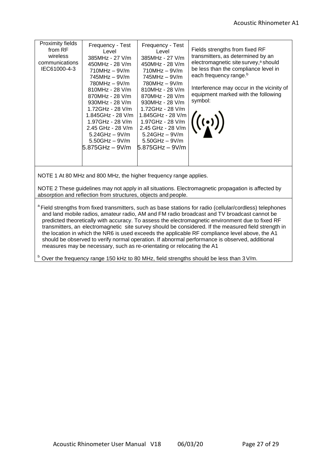| Proximity fields<br>from RF<br>wireless<br>communications<br>IEC61000-4-3 | Frequency - Test<br>Level<br>385MHz - 27 V/m<br>450MHz - 28 V/m<br>$710MHz - 9V/m$<br>745MHz – 9V/m<br>$780MHz - 9V/m$<br>810MHz - 28 V/m<br>870MHz - 28 V/m<br>930MHz - 28 V/m<br>1.72GHz - 28 V/m<br>1.845GHz - 28 V/m<br>1.97GHz - 28 V/m<br>2.45 GHz - 28 V/m<br>$5.24$ GHz $-9$ V/m<br>$5.50$ GHz $-9V/m$<br>$5.875GHz - 9V/m$ | Frequency - Test<br>Level<br>385MHz - 27 V/m<br>450MHz - 28 V/m<br>$710MHz - 9V/m$<br>$745MHz - 9V/m$<br>$780MHz - 9V/m$<br>810MHz - 28 V/m<br>870MHz - 28 V/m<br>930MHz - 28 $V/m$<br>1.72GHz - 28 V/m<br>1.845GHz - 28 V/m I<br>1.97GHz - 28 V/m<br>2.45 GHz - 28 V/m<br>$5.24$ GHz $-9$ V/m<br>$5.50$ GHz $-9V/m$<br>$5.875GHz - 9V/m$ | Fields strengths from fixed RF<br>transmitters, as determined by an<br>electromagnetic site survey, <sup>a</sup> should<br>be less than the compliance level in<br>each frequency range. <sup>b</sup><br>Interference may occur in the vicinity of<br>equipment marked with the following<br>symbol:<br>$((\cdot,))$ |
|---------------------------------------------------------------------------|-------------------------------------------------------------------------------------------------------------------------------------------------------------------------------------------------------------------------------------------------------------------------------------------------------------------------------------|-------------------------------------------------------------------------------------------------------------------------------------------------------------------------------------------------------------------------------------------------------------------------------------------------------------------------------------------|----------------------------------------------------------------------------------------------------------------------------------------------------------------------------------------------------------------------------------------------------------------------------------------------------------------------|
|---------------------------------------------------------------------------|-------------------------------------------------------------------------------------------------------------------------------------------------------------------------------------------------------------------------------------------------------------------------------------------------------------------------------------|-------------------------------------------------------------------------------------------------------------------------------------------------------------------------------------------------------------------------------------------------------------------------------------------------------------------------------------------|----------------------------------------------------------------------------------------------------------------------------------------------------------------------------------------------------------------------------------------------------------------------------------------------------------------------|

NOTE 1 At 80 MHz and 800 MHz, the higher frequency range applies.

NOTE 2 These guidelines may not apply in all situations. Electromagnetic propagation is affected by absorption and reflection from structures, objects and people.

<sup>a</sup> Field strengths from fixed transmitters, such as base stations for radio (cellular/cordless) telephones and land mobile radios, amateur radio, AM and FM radio broadcast and TV broadcast cannot be predicted theoretically with accuracy. To assess the electromagnetic environment due to fixed RF transmitters, an electromagnetic site survey should be considered. If the measured field strength in the location in which the NR6 is used exceeds the applicable RF compliance level above, the A1 should be observed to verify normal operation. If abnormal performance is observed, additional measures may be necessary, such as re-orientating or relocating the A1

 $b$  Over the frequency range 150 kHz to 80 MHz, field strengths should be less than  $3$  V/m.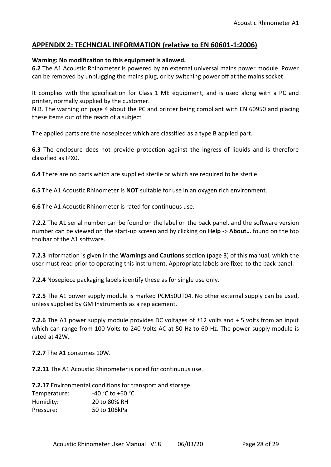#### **APPENDIX 2: TECHNCIAL INFORMATION (relative to EN 60601-1:2006)**

#### **Warning: No modification to this equipment is allowed.**

**6.2** The A1 Acoustic Rhinometer is powered by an external universal mains power module. Power can be removed by unplugging the mains plug, or by switching power off at the mains socket.

It complies with the specification for Class 1 ME equipment, and is used along with a PC and printer, normally supplied by the customer.

N.B. The warning on page 4 about the PC and printer being compliant with EN 60950 and placing these items out of the reach of a subject

The applied parts are the nosepieces which are classified as a type B applied part.

**6.3** The enclosure does not provide protection against the ingress of liquids and is therefore classified as IPX0.

**6.4** There are no parts which are supplied sterile or which are required to be sterile.

**6.5** The A1 Acoustic Rhinometer is **NOT** suitable for use in an oxygen rich environment.

**6.6** The A1 Acoustic Rhinometer is rated for continuous use.

**7.2.2** The A1 serial number can be found on the label on the back panel, and the software version number can be viewed on the start-up screen and by clicking on **Help** -> **About…** found on the top toolbar of the A1 software.

**7.2.3** Information is given in the **Warnings and Cautions** section (page 3) of this manual, which the user must read prior to operating this instrument. Appropriate labels are fixed to the back panel.

**7.2.4** Nosepiece packaging labels identify these as for single use only.

**7.2.5** The A1 power supply module is marked PCM50UT04. No other external supply can be used, unless supplied by GM Instruments as a replacement.

**7.2.6** The A1 power supply module provides DC voltages of ±12 volts and + 5 volts from an input which can range from 100 Volts to 240 Volts AC at 50 Hz to 60 Hz. The power supply module is rated at 42W.

**7.2.7** The A1 consumes 10W.

**7.2.11** The A1 Acoustic Rhinometer is rated for continuous use.

**7.2.17** Environmental conditions for transport and storage.

| Temperature: | $-40 °C$ to $+60 °C$ |
|--------------|----------------------|
| Humidity:    | 20 to 80% RH         |
| Pressure:    | 50 to 106kPa         |